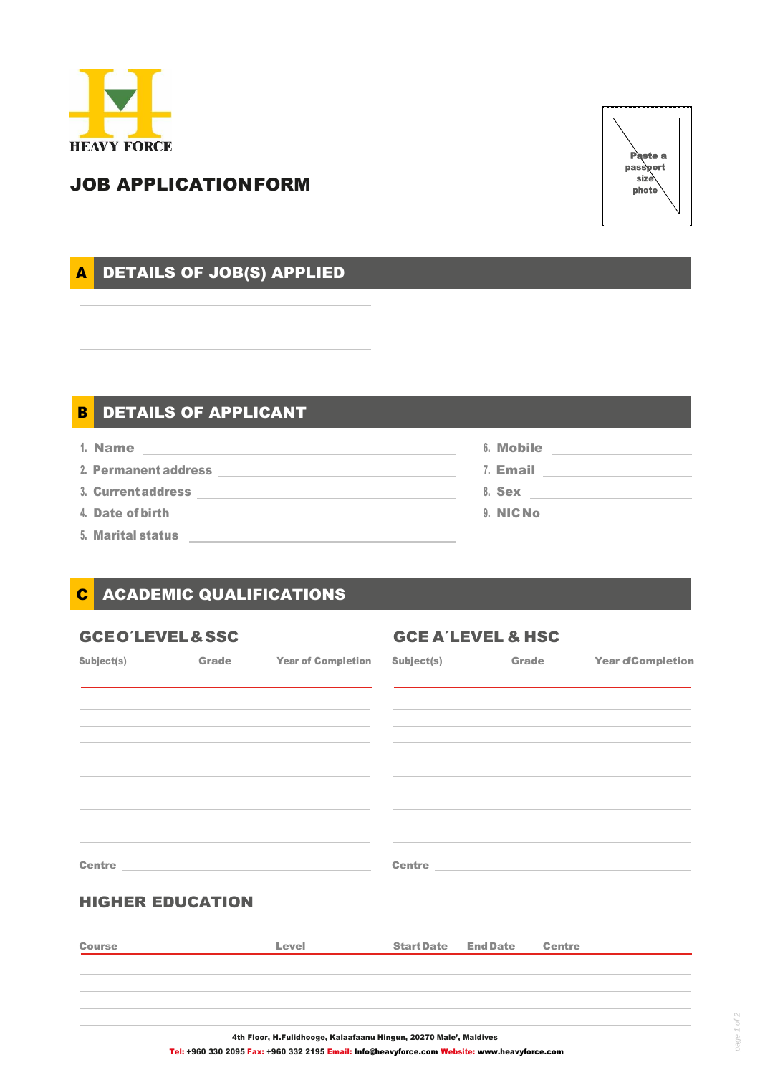



# JOB APPLICATIONFORM

# A DETAILS OF JOB(S) APPLIED

## DETAILS OF APPLICANT B

- 1. Name
- 2. Permanent address
- 3. Currentaddress
- 4. Date of birth
- 5. Marital status

6. Mobile 7. Email 8. Sex 9. NICNo

## ACADEMIC QUALIFICATIONS C

# GCEO'LEVEL&SSC GCE A'LEVEL & HSC Subject(s) Grade Year of Completion Subject(s) Grade Year of Completion Centre HIGHER EDUCATION Centre Course Level StartDate EndDate Centre

Tel: +960 330 2095 Fax: +960 332 2195 Email[: Info@heavyforce.com](mailto:Info@heavyforce.com) Website: [www.heavyforce.com](http://www.heavyforce.com/)